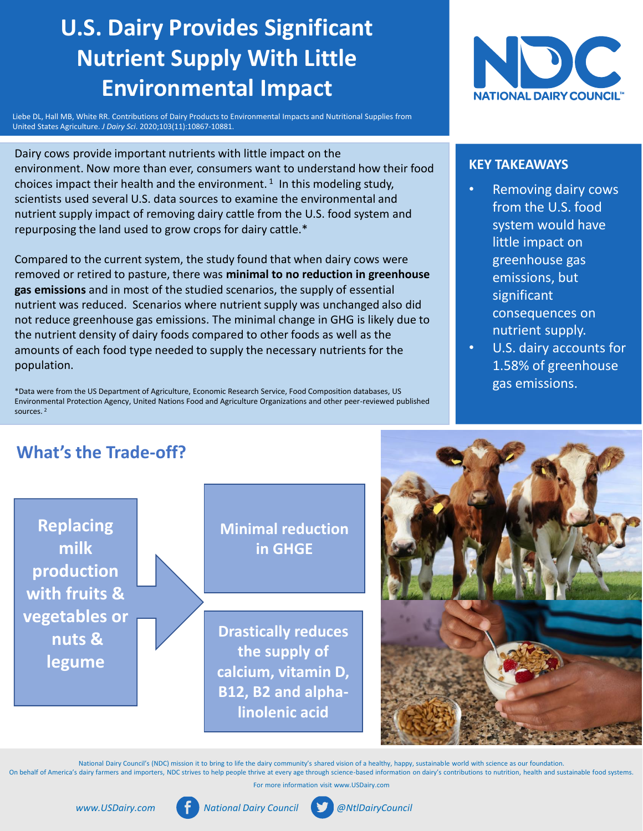# **U.S. Dairy Provides Significant Nutrient Supply With Little Environmental Impact**

Liebe DL, Hall MB, White RR. Contributions of Dairy Products to Environmental Impacts and Nutritional Supplies from United States Agriculture. *J Dairy Sci*. 2020;103(11):10867-10881.

Dairy cows provide important nutrients with little impact on the environment. Now more than ever, consumers want to understand how their food choices impact their health and the environment.<sup>1</sup> In this modeling study, scientists used several U.S. data sources to examine the environmental and nutrient supply impact of removing dairy cattle from the U.S. food system and repurposing the land used to grow crops for dairy cattle.\*

Compared to the current system, the study found that when dairy cows were removed or retired to pasture, there was **minimal to no reduction in greenhouse gas emissions** and in most of the studied scenarios, the supply of essential nutrient was reduced. Scenarios where nutrient supply was unchanged also did not reduce greenhouse gas emissions. The minimal change in GHG is likely due to the nutrient density of dairy foods compared to other foods as well as the amounts of each food type needed to supply the necessary nutrients for the population.

\*Data were from the US Department of Agriculture, Economic Research Service, Food Composition databases, US Environmental Protection Agency, United Nations Food and Agriculture Organizations and other peer-reviewed published sources. <sup>2</sup>



#### **KEY TAKEAWAYS**

- Removing dairy cows from the U.S. food system would have little impact on greenhouse gas emissions, but significant consequences on nutrient supply.
- U.S. dairy accounts for 1.58% of greenhouse gas emissions.

## **What's the Trade-off?**

**Replacing milk production with fruits & vegetables or nuts & legume Minimal reduction in GHGE Drastically reduces the supply of calcium, vitamin D, B12, B2 and alphalinolenic acid**

National Dairy Council's (NDC) mission it to bring to life the dairy community's shared vision of a healthy, happy, sustainable world with science as our foundation. On behalf of America's dairy farmers and importers, NDC strives to help people thrive at every age through science-based information on dairy's contributions to nutrition, health and sustainable food systems.

For more information visit www.USDairy.com